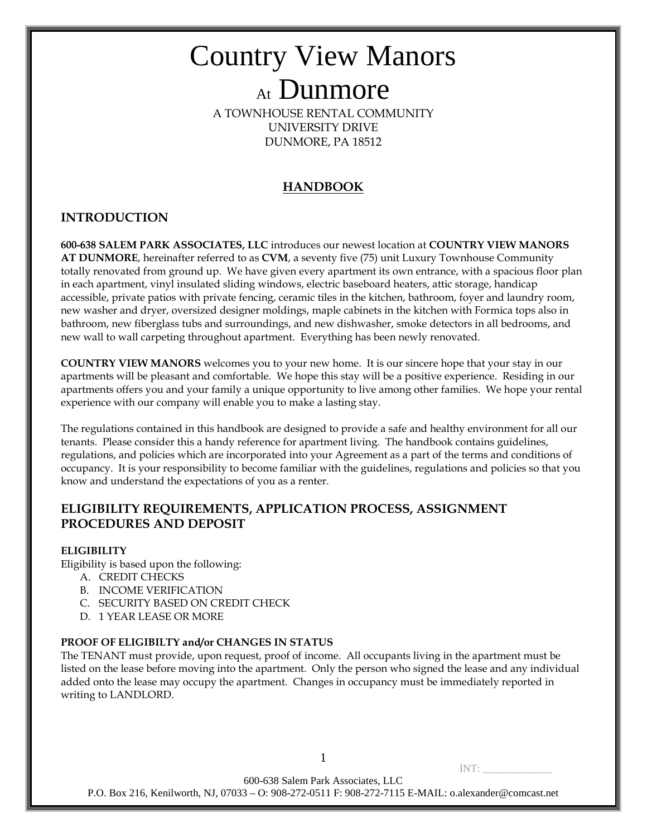A TOWNHOUSE RENTAL COMMUNITY UNIVERSITY DRIVE DUNMORE, PA 18512

### **HANDBOOK**

### **INTRODUCTION**

**600-638 SALEM PARK ASSOCIATES, LLC** introduces our newest location at **COUNTRY VIEW MANORS AT DUNMORE**, hereinafter referred to as **CVM**, a seventy five (75) unit Luxury Townhouse Community totally renovated from ground up. We have given every apartment its own entrance, with a spacious floor plan in each apartment, vinyl insulated sliding windows, electric baseboard heaters, attic storage, handicap accessible, private patios with private fencing, ceramic tiles in the kitchen, bathroom, foyer and laundry room, new washer and dryer, oversized designer moldings, maple cabinets in the kitchen with Formica tops also in bathroom, new fiberglass tubs and surroundings, and new dishwasher, smoke detectors in all bedrooms, and new wall to wall carpeting throughout apartment. Everything has been newly renovated.

**COUNTRY VIEW MANORS** welcomes you to your new home. It is our sincere hope that your stay in our apartments will be pleasant and comfortable. We hope this stay will be a positive experience. Residing in our apartments offers you and your family a unique opportunity to live among other families. We hope your rental experience with our company will enable you to make a lasting stay.

The regulations contained in this handbook are designed to provide a safe and healthy environment for all our tenants. Please consider this a handy reference for apartment living. The handbook contains guidelines, regulations, and policies which are incorporated into your Agreement as a part of the terms and conditions of occupancy. It is your responsibility to become familiar with the guidelines, regulations and policies so that you know and understand the expectations of you as a renter.

### **ELIGIBILITY REQUIREMENTS, APPLICATION PROCESS, ASSIGNMENT PROCEDURES AND DEPOSIT**

### **ELIGIBILITY**

Eligibility is based upon the following:

- A. CREDIT CHECKS
- B. INCOME VERIFICATION
- C. SECURITY BASED ON CREDIT CHECK
- D. 1 YEAR LEASE OR MORE

### **PROOF OF ELIGIBILTY and/or CHANGES IN STATUS**

The TENANT must provide, upon request, proof of income. All occupants living in the apartment must be listed on the lease before moving into the apartment. Only the person who signed the lease and any individual added onto the lease may occupy the apartment. Changes in occupancy must be immediately reported in writing to LANDLORD.

 $INT:$ 

600-638 Salem Park Associates, LLC

P.O. Box 216, Kenilworth, NJ, 07033 – O: 908-272-0511 F: 908-272-7115 E-MAIL: o.alexander@comcast.net

1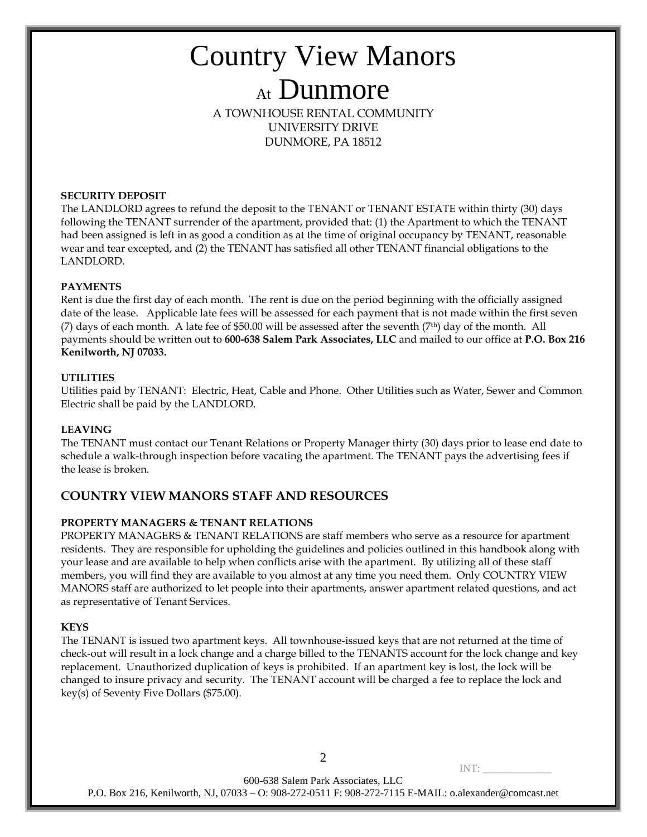A TOWNHOUSE RENTAL COMMUNITY UNIVERSITY DRIVE DUNMORE, PA 18512

### **SECURITY DEPOSIT**

The LANDLORD agrees to refund the deposit to the TENANT or TENANT ESTATE within thirty (30) days following the TENANT surrender of the apartment, provided that: (1) the Apartment to which the TENANT had been assigned is left in as good a condition as at the time of original occupancy by TENANT, reasonable wear and tear excepted, and (2) the TENANT has satisfied all other TENANT financial obligations to the LANDLORD.

### **PAYMENTS**

Rent is due the first day of each month. The rent is due on the period beginning with the officially assigned date of the lease. Applicable late fees will be assessed for each payment that is not made within the first seven (7) days of each month. A late fee of \$50.00 will be assessed after the seventh (7th) day of the month. All payments should be written out to **600-638 Salem Park Associates, LLC** and mailed to our office at **P.O. Box 216 Kenilworth, NJ 07033.**

### **UTILITIES**

Utilities paid by TENANT: Electric, Heat, Cable and Phone. Other Utilities such as Water, Sewer and Common Electric shall be paid by the LANDLORD.

### **LEAVING**

The TENANT must contact our Tenant Relations or Property Manager thirty (30) days prior to lease end date to schedule a walk-through inspection before vacating the apartment. The TENANT pays the advertising fees if the lease is broken.

### **COUNTRY VIEW MANORS STAFF AND RESOURCES**

### **PROPERTY MANAGERS & TENANT RELATIONS**

PROPERTY MANAGERS & TENANT RELATIONS are staff members who serve as a resource for apartment residents. They are responsible for upholding the guidelines and policies outlined in this handbook along with your lease and are available to help when conflicts arise with the apartment. By utilizing all of these staff members, you will find they are available to you almost at any time you need them. Only COUNTRY VIEW MANORS staff are authorized to let people into their apartments, answer apartment related questions, and act as representative of Tenant Services.

### **KEYS**

The TENANT is issued two apartment keys. All townhouse-issued keys that are not returned at the time of check-out will result in a lock change and a charge billed to the TENANTS account for the lock change and key replacement. Unauthorized duplication of keys is prohibited. If an apartment key is lost, the lock will be changed to insure privacy and security. The TENANT account will be charged a fee to replace the lock and key(s) of Seventy Five Dollars (\$75.00).

 $INT:$ 600-638 Salem Park Associates, LLC P.O. Box 216, Kenilworth, NJ, 07033 – O: 908-272-0511 F: 908-272-7115 E-MAIL: o.alexander@comcast.net

2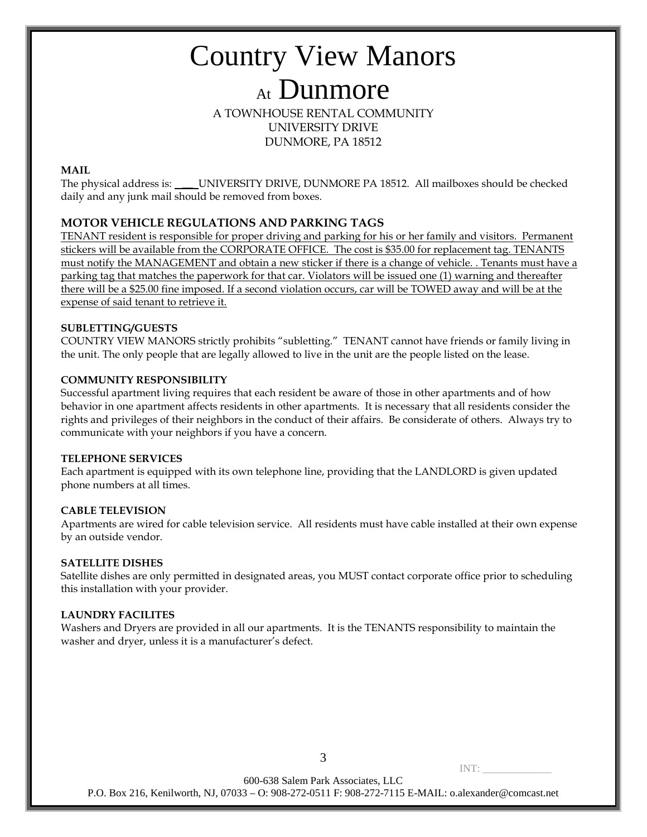A TOWNHOUSE RENTAL COMMUNITY UNIVERSITY DRIVE DUNMORE, PA 18512

### **MAIL**

The physical address is: \_\_ UNIVERSITY DRIVE, DUNMORE PA 18512. All mailboxes should be checked daily and any junk mail should be removed from boxes.

### **MOTOR VEHICLE REGULATIONS AND PARKING TAGS**

TENANT resident is responsible for proper driving and parking for his or her family and visitors. Permanent stickers will be available from the CORPORATE OFFICE. The cost is \$35.00 for replacement tag. TENANTS must notify the MANAGEMENT and obtain a new sticker if there is a change of vehicle. . Tenants must have a parking tag that matches the paperwork for that car. Violators will be issued one (1) warning and thereafter there will be a \$25.00 fine imposed. If a second violation occurs, car will be TOWED away and will be at the expense of said tenant to retrieve it.

### **SUBLETTING/GUESTS**

COUNTRY VIEW MANORS strictly prohibits "subletting." TENANT cannot have friends or family living in the unit. The only people that are legally allowed to live in the unit are the people listed on the lease.

### **COMMUNITY RESPONSIBILITY**

Successful apartment living requires that each resident be aware of those in other apartments and of how behavior in one apartment affects residents in other apartments. It is necessary that all residents consider the rights and privileges of their neighbors in the conduct of their affairs. Be considerate of others. Always try to communicate with your neighbors if you have a concern.

### **TELEPHONE SERVICES**

Each apartment is equipped with its own telephone line, providing that the LANDLORD is given updated phone numbers at all times.

### **CABLE TELEVISION**

Apartments are wired for cable television service. All residents must have cable installed at their own expense by an outside vendor.

### **SATELLITE DISHES**

Satellite dishes are only permitted in designated areas, you MUST contact corporate office prior to scheduling this installation with your provider.

### **LAUNDRY FACILITES**

Washers and Dryers are provided in all our apartments. It is the TENANTS responsibility to maintain the washer and dryer, unless it is a manufacturer's defect.

3

 $INT:$ 

600-638 Salem Park Associates, LLC

P.O. Box 216, Kenilworth, NJ, 07033 – O: 908-272-0511 F: 908-272-7115 E-MAIL: o.alexander@comcast.net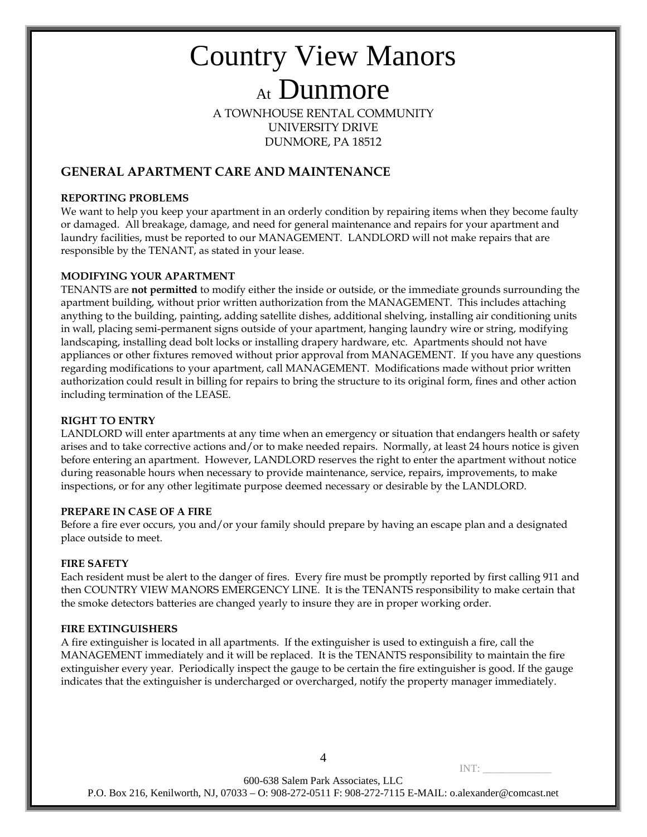A TOWNHOUSE RENTAL COMMUNITY UNIVERSITY DRIVE DUNMORE, PA 18512

### **GENERAL APARTMENT CARE AND MAINTENANCE**

### **REPORTING PROBLEMS**

We want to help you keep your apartment in an orderly condition by repairing items when they become faulty or damaged. All breakage, damage, and need for general maintenance and repairs for your apartment and laundry facilities, must be reported to our MANAGEMENT. LANDLORD will not make repairs that are responsible by the TENANT, as stated in your lease.

### **MODIFYING YOUR APARTMENT**

TENANTS are **not permitted** to modify either the inside or outside, or the immediate grounds surrounding the apartment building, without prior written authorization from the MANAGEMENT. This includes attaching anything to the building, painting, adding satellite dishes, additional shelving, installing air conditioning units in wall, placing semi-permanent signs outside of your apartment, hanging laundry wire or string, modifying landscaping, installing dead bolt locks or installing drapery hardware, etc. Apartments should not have appliances or other fixtures removed without prior approval from MANAGEMENT. If you have any questions regarding modifications to your apartment, call MANAGEMENT. Modifications made without prior written authorization could result in billing for repairs to bring the structure to its original form, fines and other action including termination of the LEASE.

### **RIGHT TO ENTRY**

LANDLORD will enter apartments at any time when an emergency or situation that endangers health or safety arises and to take corrective actions and/or to make needed repairs. Normally, at least 24 hours notice is given before entering an apartment. However, LANDLORD reserves the right to enter the apartment without notice during reasonable hours when necessary to provide maintenance, service, repairs, improvements, to make inspections, or for any other legitimate purpose deemed necessary or desirable by the LANDLORD.

### **PREPARE IN CASE OF A FIRE**

Before a fire ever occurs, you and/or your family should prepare by having an escape plan and a designated place outside to meet.

### **FIRE SAFETY**

Each resident must be alert to the danger of fires. Every fire must be promptly reported by first calling 911 and then COUNTRY VIEW MANORS EMERGENCY LINE. It is the TENANTS responsibility to make certain that the smoke detectors batteries are changed yearly to insure they are in proper working order.

### **FIRE EXTINGUISHERS**

A fire extinguisher is located in all apartments. If the extinguisher is used to extinguish a fire, call the MANAGEMENT immediately and it will be replaced. It is the TENANTS responsibility to maintain the fire extinguisher every year. Periodically inspect the gauge to be certain the fire extinguisher is good. If the gauge indicates that the extinguisher is undercharged or overcharged, notify the property manager immediately.

600-638 Salem Park Associates, LLC P.O. Box 216, Kenilworth, NJ, 07033 – O: 908-272-0511 F: 908-272-7115 E-MAIL: o.alexander@comcast.net

4

INT: \_\_\_\_\_\_\_\_\_\_\_\_\_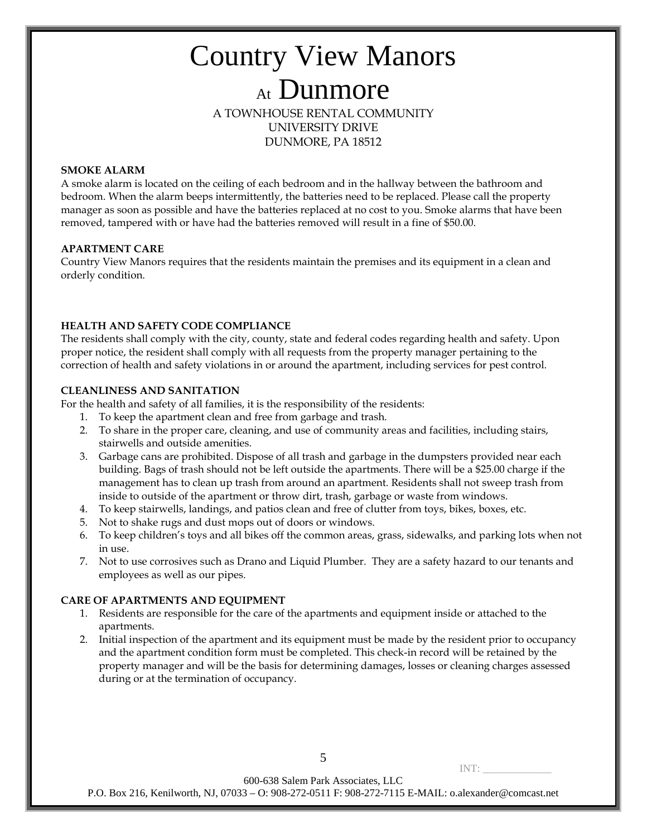### Country View Manors At Dunmore A TOWNHOUSE RENTAL COMMUNITY

UNIVERSITY DRIVE DUNMORE, PA 18512

### **SMOKE ALARM**

A smoke alarm is located on the ceiling of each bedroom and in the hallway between the bathroom and bedroom. When the alarm beeps intermittently, the batteries need to be replaced. Please call the property manager as soon as possible and have the batteries replaced at no cost to you. Smoke alarms that have been removed, tampered with or have had the batteries removed will result in a fine of \$50.00.

### **APARTMENT CARE**

Country View Manors requires that the residents maintain the premises and its equipment in a clean and orderly condition.

### **HEALTH AND SAFETY CODE COMPLIANCE**

The residents shall comply with the city, county, state and federal codes regarding health and safety. Upon proper notice, the resident shall comply with all requests from the property manager pertaining to the correction of health and safety violations in or around the apartment, including services for pest control.

### **CLEANLINESS AND SANITATION**

For the health and safety of all families, it is the responsibility of the residents:

- 1. To keep the apartment clean and free from garbage and trash.
- 2. To share in the proper care, cleaning, and use of community areas and facilities, including stairs, stairwells and outside amenities.
- 3. Garbage cans are prohibited. Dispose of all trash and garbage in the dumpsters provided near each building. Bags of trash should not be left outside the apartments. There will be a \$25.00 charge if the management has to clean up trash from around an apartment. Residents shall not sweep trash from inside to outside of the apartment or throw dirt, trash, garbage or waste from windows.
- 4. To keep stairwells, landings, and patios clean and free of clutter from toys, bikes, boxes, etc.
- 5. Not to shake rugs and dust mops out of doors or windows.
- 6. To keep children's toys and all bikes off the common areas, grass, sidewalks, and parking lots when not in use.
- 7. Not to use corrosives such as Drano and Liquid Plumber. They are a safety hazard to our tenants and employees as well as our pipes.

### **CARE OF APARTMENTS AND EQUIPMENT**

- 1. Residents are responsible for the care of the apartments and equipment inside or attached to the apartments.
- 2. Initial inspection of the apartment and its equipment must be made by the resident prior to occupancy and the apartment condition form must be completed. This check-in record will be retained by the property manager and will be the basis for determining damages, losses or cleaning charges assessed during or at the termination of occupancy.

5

 $INT:$ 

600-638 Salem Park Associates, LLC

P.O. Box 216, Kenilworth, NJ, 07033 – O: 908-272-0511 F: 908-272-7115 E-MAIL: o.alexander@comcast.net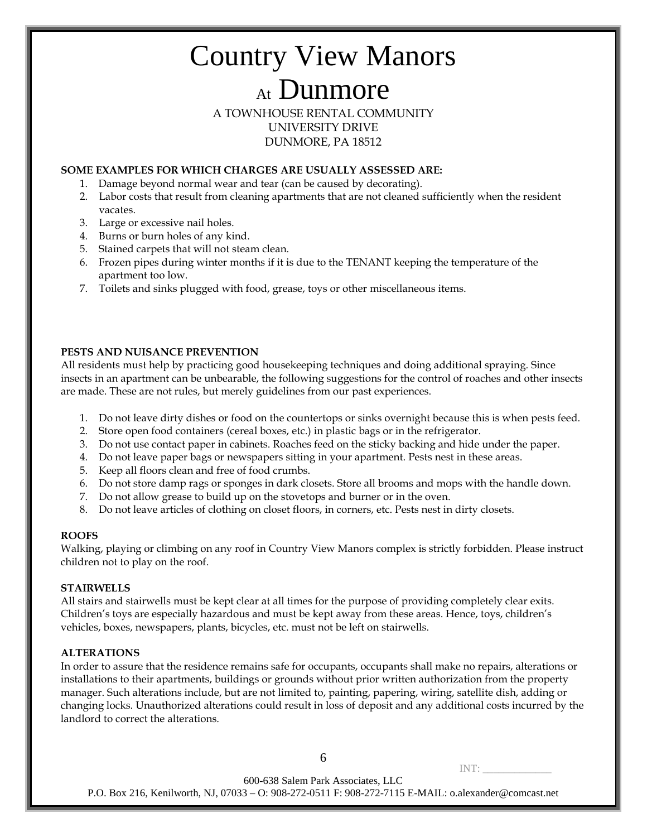A TOWNHOUSE RENTAL COMMUNITY UNIVERSITY DRIVE DUNMORE, PA 18512

### **SOME EXAMPLES FOR WHICH CHARGES ARE USUALLY ASSESSED ARE:**

- 1. Damage beyond normal wear and tear (can be caused by decorating).
- 2. Labor costs that result from cleaning apartments that are not cleaned sufficiently when the resident vacates.
- 3. Large or excessive nail holes.
- 4. Burns or burn holes of any kind.
- 5. Stained carpets that will not steam clean.
- 6. Frozen pipes during winter months if it is due to the TENANT keeping the temperature of the apartment too low.
- 7. Toilets and sinks plugged with food, grease, toys or other miscellaneous items.

### **PESTS AND NUISANCE PREVENTION**

All residents must help by practicing good housekeeping techniques and doing additional spraying. Since insects in an apartment can be unbearable, the following suggestions for the control of roaches and other insects are made. These are not rules, but merely guidelines from our past experiences.

- 1. Do not leave dirty dishes or food on the countertops or sinks overnight because this is when pests feed.
- 2. Store open food containers (cereal boxes, etc.) in plastic bags or in the refrigerator.
- 3. Do not use contact paper in cabinets. Roaches feed on the sticky backing and hide under the paper.
- 4. Do not leave paper bags or newspapers sitting in your apartment. Pests nest in these areas.
- 5. Keep all floors clean and free of food crumbs.
- 6. Do not store damp rags or sponges in dark closets. Store all brooms and mops with the handle down.
- 7. Do not allow grease to build up on the stovetops and burner or in the oven.
- 8. Do not leave articles of clothing on closet floors, in corners, etc. Pests nest in dirty closets.

### **ROOFS**

Walking, playing or climbing on any roof in Country View Manors complex is strictly forbidden. Please instruct children not to play on the roof.

### **STAIRWELLS**

All stairs and stairwells must be kept clear at all times for the purpose of providing completely clear exits. Children's toys are especially hazardous and must be kept away from these areas. Hence, toys, children's vehicles, boxes, newspapers, plants, bicycles, etc. must not be left on stairwells.

### **ALTERATIONS**

In order to assure that the residence remains safe for occupants, occupants shall make no repairs, alterations or installations to their apartments, buildings or grounds without prior written authorization from the property manager. Such alterations include, but are not limited to, painting, papering, wiring, satellite dish, adding or changing locks. Unauthorized alterations could result in loss of deposit and any additional costs incurred by the landlord to correct the alterations.

6

 $INT:$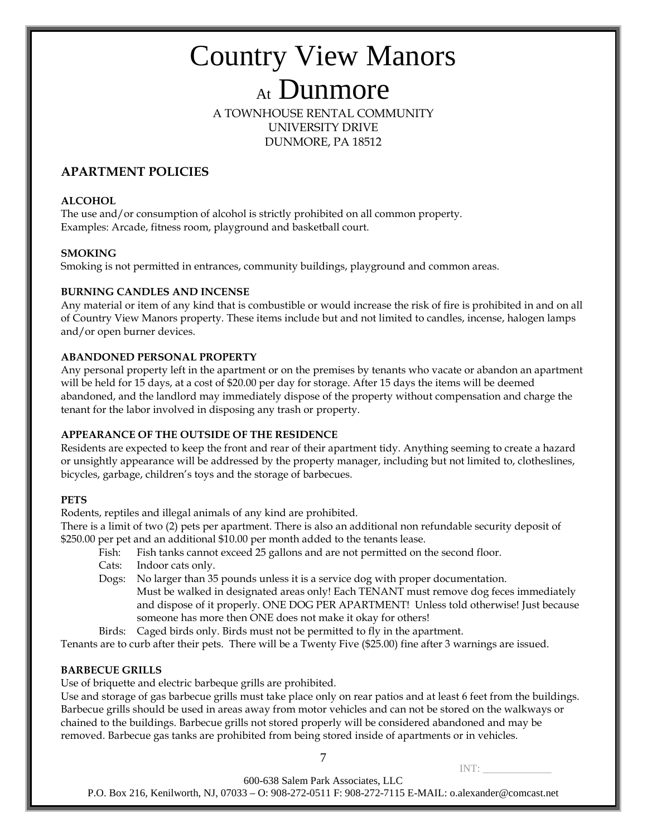A TOWNHOUSE RENTAL COMMUNITY UNIVERSITY DRIVE DUNMORE, PA 18512

### **APARTMENT POLICIES**

### **ALCOHOL**

The use and/or consumption of alcohol is strictly prohibited on all common property. Examples: Arcade, fitness room, playground and basketball court.

### **SMOKING**

Smoking is not permitted in entrances, community buildings, playground and common areas.

### **BURNING CANDLES AND INCENSE**

Any material or item of any kind that is combustible or would increase the risk of fire is prohibited in and on all of Country View Manors property. These items include but and not limited to candles, incense, halogen lamps and/or open burner devices.

### **ABANDONED PERSONAL PROPERTY**

Any personal property left in the apartment or on the premises by tenants who vacate or abandon an apartment will be held for 15 days, at a cost of \$20.00 per day for storage. After 15 days the items will be deemed abandoned, and the landlord may immediately dispose of the property without compensation and charge the tenant for the labor involved in disposing any trash or property.

### **APPEARANCE OF THE OUTSIDE OF THE RESIDENCE**

Residents are expected to keep the front and rear of their apartment tidy. Anything seeming to create a hazard or unsightly appearance will be addressed by the property manager, including but not limited to, clotheslines, bicycles, garbage, children's toys and the storage of barbecues.

### **PETS**

Rodents, reptiles and illegal animals of any kind are prohibited.

There is a limit of two (2) pets per apartment. There is also an additional non refundable security deposit of \$250.00 per pet and an additional \$10.00 per month added to the tenants lease.

- Fish: Fish tanks cannot exceed 25 gallons and are not permitted on the second floor.
- Cats: Indoor cats only.
- Dogs: No larger than 35 pounds unless it is a service dog with proper documentation.
	- Must be walked in designated areas only! Each TENANT must remove dog feces immediately and dispose of it properly. ONE DOG PER APARTMENT! Unless told otherwise! Just because someone has more then ONE does not make it okay for others!
- Birds: Caged birds only. Birds must not be permitted to fly in the apartment.

Tenants are to curb after their pets. There will be a Twenty Five (\$25.00) fine after 3 warnings are issued.

### **BARBECUE GRILLS**

Use of briquette and electric barbeque grills are prohibited.

Use and storage of gas barbecue grills must take place only on rear patios and at least 6 feet from the buildings. Barbecue grills should be used in areas away from motor vehicles and can not be stored on the walkways or chained to the buildings. Barbecue grills not stored properly will be considered abandoned and may be removed. Barbecue gas tanks are prohibited from being stored inside of apartments or in vehicles.

7

 $INT:$ 

600-638 Salem Park Associates, LLC

P.O. Box 216, Kenilworth, NJ, 07033 – O: 908-272-0511 F: 908-272-7115 E-MAIL: o.alexander@comcast.net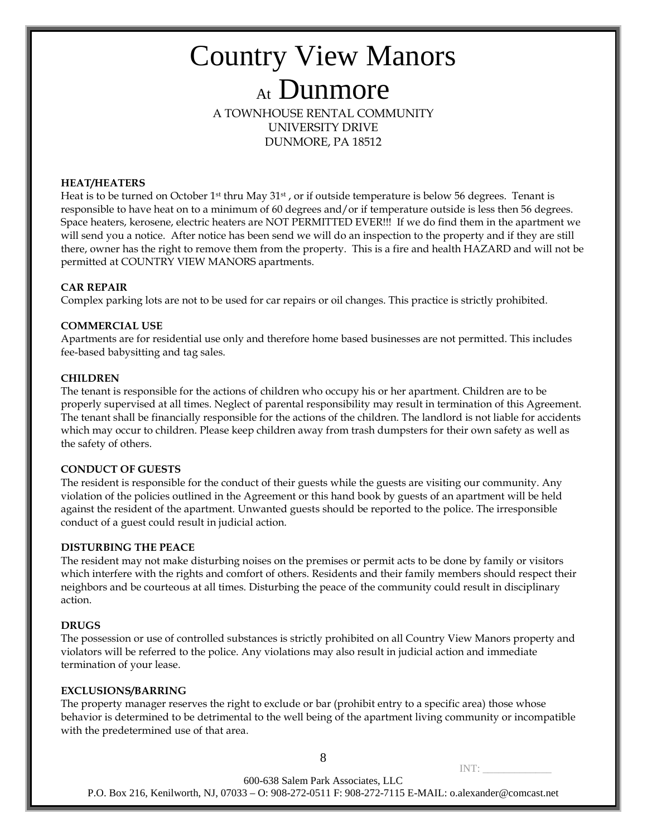### Country View Manors At Dunmore A TOWNHOUSE RENTAL COMMUNITY

UNIVERSITY DRIVE DUNMORE, PA 18512

### **HEAT/HEATERS**

Heat is to be turned on October 1<sup>st</sup> thru May  $31st$ , or if outside temperature is below 56 degrees. Tenant is responsible to have heat on to a minimum of 60 degrees and/or if temperature outside is less then 56 degrees. Space heaters, kerosene, electric heaters are NOT PERMITTED EVER!!! If we do find them in the apartment we will send you a notice. After notice has been send we will do an inspection to the property and if they are still there, owner has the right to remove them from the property. This is a fire and health HAZARD and will not be permitted at COUNTRY VIEW MANORS apartments.

### **CAR REPAIR**

Complex parking lots are not to be used for car repairs or oil changes. This practice is strictly prohibited.

### **COMMERCIAL USE**

Apartments are for residential use only and therefore home based businesses are not permitted. This includes fee-based babysitting and tag sales.

### **CHILDREN**

The tenant is responsible for the actions of children who occupy his or her apartment. Children are to be properly supervised at all times. Neglect of parental responsibility may result in termination of this Agreement. The tenant shall be financially responsible for the actions of the children. The landlord is not liable for accidents which may occur to children. Please keep children away from trash dumpsters for their own safety as well as the safety of others.

### **CONDUCT OF GUESTS**

The resident is responsible for the conduct of their guests while the guests are visiting our community. Any violation of the policies outlined in the Agreement or this hand book by guests of an apartment will be held against the resident of the apartment. Unwanted guests should be reported to the police. The irresponsible conduct of a guest could result in judicial action.

### **DISTURBING THE PEACE**

The resident may not make disturbing noises on the premises or permit acts to be done by family or visitors which interfere with the rights and comfort of others. Residents and their family members should respect their neighbors and be courteous at all times. Disturbing the peace of the community could result in disciplinary action.

### **DRUGS**

The possession or use of controlled substances is strictly prohibited on all Country View Manors property and violators will be referred to the police. Any violations may also result in judicial action and immediate termination of your lease.

### **EXCLUSIONS/BARRING**

The property manager reserves the right to exclude or bar (prohibit entry to a specific area) those whose behavior is determined to be detrimental to the well being of the apartment living community or incompatible with the predetermined use of that area.

8

INT: \_\_\_\_\_\_\_\_\_\_\_\_\_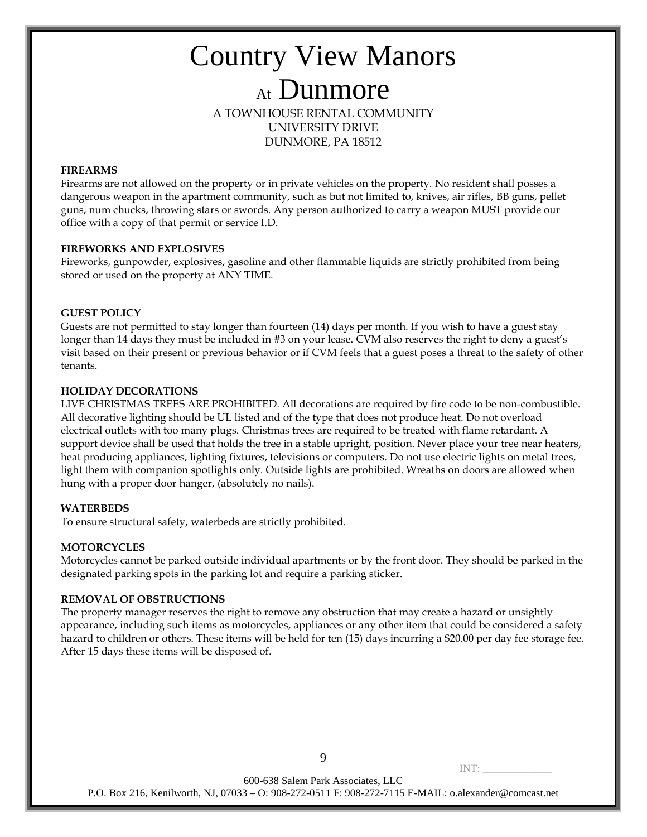A TOWNHOUSE RENTAL COMMUNITY UNIVERSITY DRIVE DUNMORE, PA 18512

### **FIREARMS**

Firearms are not allowed on the property or in private vehicles on the property. No resident shall posses a dangerous weapon in the apartment community, such as but not limited to, knives, air rifles, BB guns, pellet guns, num chucks, throwing stars or swords. Any person authorized to carry a weapon MUST provide our office with a copy of that permit or service I.D.

### **FIREWORKS AND EXPLOSIVES**

Fireworks, gunpowder, explosives, gasoline and other flammable liquids are strictly prohibited from being stored or used on the property at ANY TIME.

### **GUEST POLICY**

Guests are not permitted to stay longer than fourteen (14) days per month. If you wish to have a guest stay longer than 14 days they must be included in #3 on your lease. CVM also reserves the right to deny a guest's visit based on their present or previous behavior or if CVM feels that a guest poses a threat to the safety of other tenants.

### **HOLIDAY DECORATIONS**

LIVE CHRISTMAS TREES ARE PROHIBITED. All decorations are required by fire code to be non-combustible. All decorative lighting should be UL listed and of the type that does not produce heat. Do not overload electrical outlets with too many plugs. Christmas trees are required to be treated with flame retardant. A support device shall be used that holds the tree in a stable upright, position. Never place your tree near heaters, heat producing appliances, lighting fixtures, televisions or computers. Do not use electric lights on metal trees, light them with companion spotlights only. Outside lights are prohibited. Wreaths on doors are allowed when hung with a proper door hanger, (absolutely no nails).

### **WATERBEDS**

To ensure structural safety, waterbeds are strictly prohibited.

### **MOTORCYCLES**

Motorcycles cannot be parked outside individual apartments or by the front door. They should be parked in the designated parking spots in the parking lot and require a parking sticker.

### **REMOVAL OF OBSTRUCTIONS**

The property manager reserves the right to remove any obstruction that may create a hazard or unsightly appearance, including such items as motorcycles, appliances or any other item that could be considered a safety hazard to children or others. These items will be held for ten (15) days incurring a \$20.00 per day fee storage fee. After 15 days these items will be disposed of.

9

 $INT:$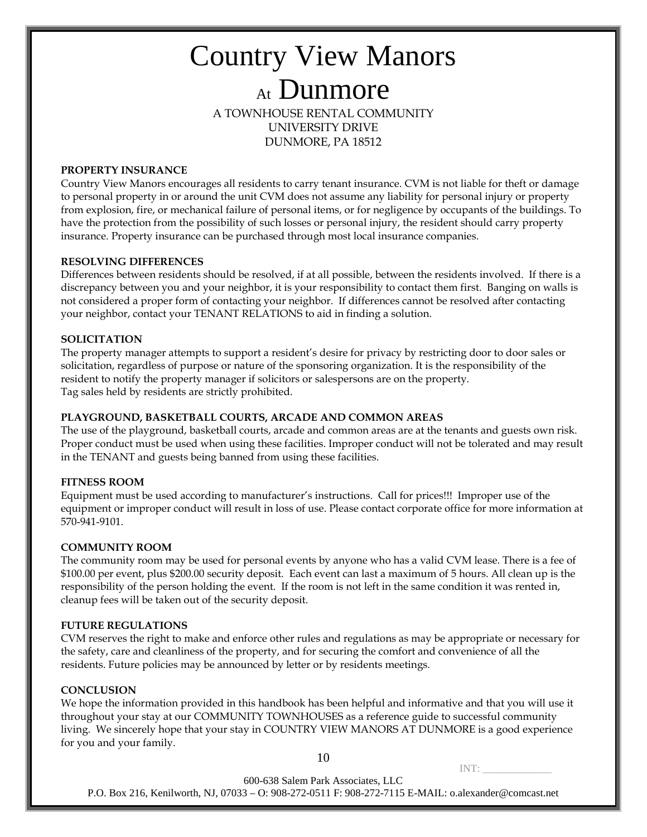### Country View Manors At Dunmore A TOWNHOUSE RENTAL COMMUNITY UNIVERSITY DRIVE

DUNMORE, PA 18512

### **PROPERTY INSURANCE**

Country View Manors encourages all residents to carry tenant insurance. CVM is not liable for theft or damage to personal property in or around the unit CVM does not assume any liability for personal injury or property from explosion, fire, or mechanical failure of personal items, or for negligence by occupants of the buildings. To have the protection from the possibility of such losses or personal injury, the resident should carry property insurance. Property insurance can be purchased through most local insurance companies.

### **RESOLVING DIFFERENCES**

Differences between residents should be resolved, if at all possible, between the residents involved. If there is a discrepancy between you and your neighbor, it is your responsibility to contact them first. Banging on walls is not considered a proper form of contacting your neighbor. If differences cannot be resolved after contacting your neighbor, contact your TENANT RELATIONS to aid in finding a solution.

### **SOLICITATION**

The property manager attempts to support a resident's desire for privacy by restricting door to door sales or solicitation, regardless of purpose or nature of the sponsoring organization. It is the responsibility of the resident to notify the property manager if solicitors or salespersons are on the property. Tag sales held by residents are strictly prohibited.

### **PLAYGROUND, BASKETBALL COURTS, ARCADE AND COMMON AREAS**

The use of the playground, basketball courts, arcade and common areas are at the tenants and guests own risk. Proper conduct must be used when using these facilities. Improper conduct will not be tolerated and may result in the TENANT and guests being banned from using these facilities.

### **FITNESS ROOM**

Equipment must be used according to manufacturer's instructions. Call for prices!!! Improper use of the equipment or improper conduct will result in loss of use. Please contact corporate office for more information at 570-941-9101.

### **COMMUNITY ROOM**

The community room may be used for personal events by anyone who has a valid CVM lease. There is a fee of \$100.00 per event, plus \$200.00 security deposit. Each event can last a maximum of 5 hours. All clean up is the responsibility of the person holding the event. If the room is not left in the same condition it was rented in, cleanup fees will be taken out of the security deposit.

### **FUTURE REGULATIONS**

CVM reserves the right to make and enforce other rules and regulations as may be appropriate or necessary for the safety, care and cleanliness of the property, and for securing the comfort and convenience of all the residents. Future policies may be announced by letter or by residents meetings.

### **CONCLUSION**

We hope the information provided in this handbook has been helpful and informative and that you will use it throughout your stay at our COMMUNITY TOWNHOUSES as a reference guide to successful community living. We sincerely hope that your stay in COUNTRY VIEW MANORS AT DUNMORE is a good experience for you and your family.

10

 $INT:$